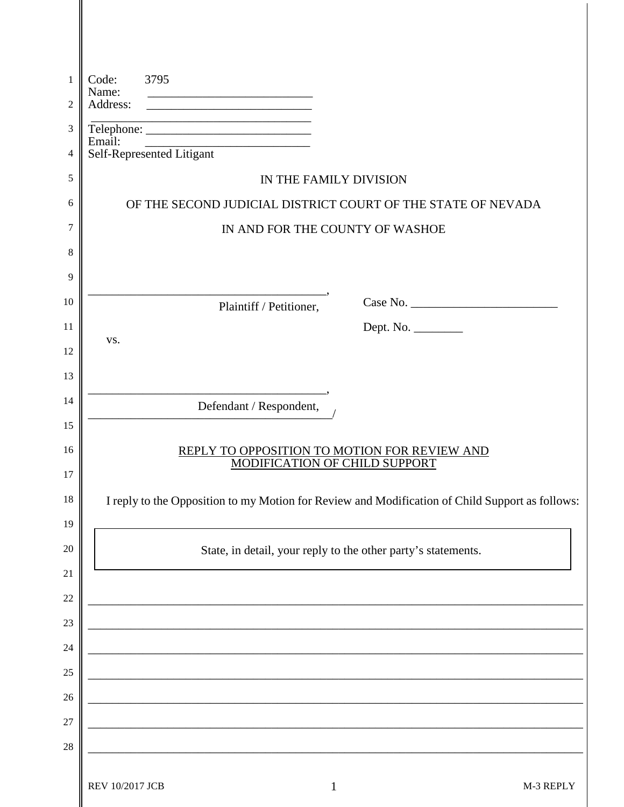| 1  | Code:<br>Name:                                                                | 3795                                                                                                                 |                                                                                                 |
|----|-------------------------------------------------------------------------------|----------------------------------------------------------------------------------------------------------------------|-------------------------------------------------------------------------------------------------|
| 2  |                                                                               |                                                                                                                      |                                                                                                 |
| 3  | Email:                                                                        |                                                                                                                      |                                                                                                 |
| 4  |                                                                               | Self-Represented Litigant                                                                                            |                                                                                                 |
| 5  |                                                                               |                                                                                                                      | IN THE FAMILY DIVISION                                                                          |
| 6  |                                                                               |                                                                                                                      | OF THE SECOND JUDICIAL DISTRICT COURT OF THE STATE OF NEVADA                                    |
| 7  | IN AND FOR THE COUNTY OF WASHOE                                               |                                                                                                                      |                                                                                                 |
| 8  |                                                                               |                                                                                                                      |                                                                                                 |
| 9  |                                                                               |                                                                                                                      |                                                                                                 |
| 10 |                                                                               | Plaintiff / Petitioner,                                                                                              |                                                                                                 |
| 11 |                                                                               |                                                                                                                      | Dept. No. _________                                                                             |
| 12 | VS.                                                                           |                                                                                                                      |                                                                                                 |
| 13 |                                                                               |                                                                                                                      |                                                                                                 |
| 14 |                                                                               | Defendant / Respondent,                                                                                              |                                                                                                 |
| 15 |                                                                               |                                                                                                                      |                                                                                                 |
| 16 | REPLY TO OPPOSITION TO MOTION FOR REVIEW AND<br>MODIFICATION OF CHILD SUPPORT |                                                                                                                      |                                                                                                 |
| 17 |                                                                               |                                                                                                                      |                                                                                                 |
| 18 |                                                                               |                                                                                                                      | I reply to the Opposition to my Motion for Review and Modification of Child Support as follows: |
| 19 |                                                                               |                                                                                                                      |                                                                                                 |
| 20 | State, in detail, your reply to the other party's statements.                 |                                                                                                                      |                                                                                                 |
| 21 |                                                                               |                                                                                                                      |                                                                                                 |
| 22 |                                                                               |                                                                                                                      |                                                                                                 |
| 23 |                                                                               |                                                                                                                      |                                                                                                 |
| 24 |                                                                               |                                                                                                                      |                                                                                                 |
| 25 |                                                                               |                                                                                                                      |                                                                                                 |
| 26 |                                                                               | <u> 1989 - Johann John Stone, markin film yn y brenin y brenin y brenin y brenin y brenin y brenin y brenin y br</u> |                                                                                                 |
| 27 |                                                                               | <u> 1989 - Johann Barbara, martxa alemaniar amerikan basar da a</u>                                                  |                                                                                                 |
| 28 |                                                                               |                                                                                                                      |                                                                                                 |
|    | REV 10/2017 JCB                                                               |                                                                                                                      | $\mathbf{1}$<br>M-3 REPLY                                                                       |
|    |                                                                               |                                                                                                                      |                                                                                                 |